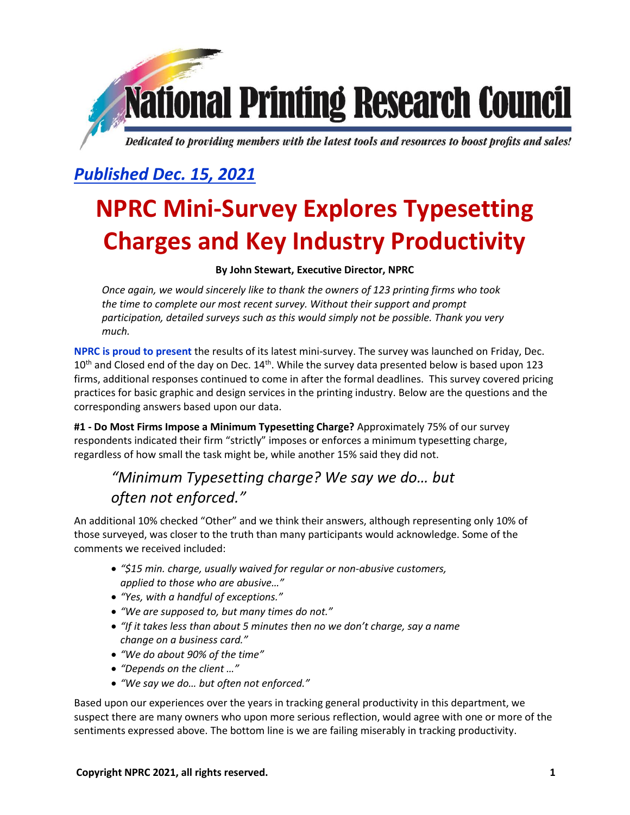# **National Printing Research Council** Dedicated to providing members with the latest tools and resources to boost profits and sales!

# *Published Dec. 15, 2021*

# **NPRC Mini-Survey Explores Typesetting Charges and Key Industry Productivity**

#### **By John Stewart, Executive Director, NPRC**

*Once again, we would sincerely like to thank the owners of 123 printing firms who took the time to complete our most recent survey. Without their support and prompt participation, detailed surveys such as this would simply not be possible. Thank you very much.*

**NPRC is proud to present** the results of its latest mini-survey. The survey was launched on Friday, Dec.  $10<sup>th</sup>$  and Closed end of the day on Dec.  $14<sup>th</sup>$ . While the survey data presented below is based upon 123 firms, additional responses continued to come in after the formal deadlines. This survey covered pricing practices for basic graphic and design services in the printing industry. Below are the questions and the corresponding answers based upon our data.

**#1 - Do Most Firms Impose a Minimum Typesetting Charge?** Approximately 75% of our survey respondents indicated their firm "strictly" imposes or enforces a minimum typesetting charge, regardless of how small the task might be, while another 15% said they did not.

## *"Minimum Typesetting charge? We say we do… but often not enforced."*

An additional 10% checked "Other" and we think their answers, although representing only 10% of those surveyed, was closer to the truth than many participants would acknowledge. Some of the comments we received included:

- *"\$15 min. charge, usually waived for regular or non-abusive customers, applied to those who are abusive…"*
- *"Yes, with a handful of exceptions."*
- *"We are supposed to, but many times do not."*
- *"If it takes less than about 5 minutes then no we don't charge, say a name change on a business card."*
- *"We do about 90% of the time"*
- *"Depends on the client …"*
- *"We say we do… but often not enforced."*

Based upon our experiences over the years in tracking general productivity in this department, we suspect there are many owners who upon more serious reflection, would agree with one or more of the sentiments expressed above. The bottom line is we are failing miserably in tracking productivity.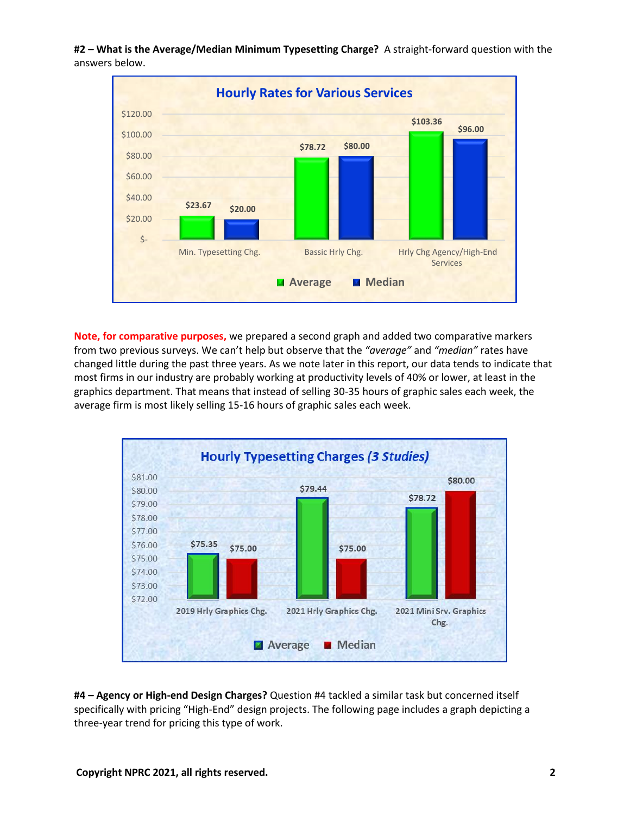**#2 – What is the Average/Median Minimum Typesetting Charge?** A straight-forward question with the answers below.



**Note, for comparative purposes,** we prepared a second graph and added two comparative markers from two previous surveys. We can't help but observe that the *"average"* and *"median"* rates have changed little during the past three years. As we note later in this report, our data tends to indicate that most firms in our industry are probably working at productivity levels of 40% or lower, at least in the graphics department. That means that instead of selling 30-35 hours of graphic sales each week, the average firm is most likely selling 15-16 hours of graphic sales each week.



**#4 – Agency or High-end Design Charges?** Question #4 tackled a similar task but concerned itself specifically with pricing "High-End" design projects. The following page includes a graph depicting a three-year trend for pricing this type of work.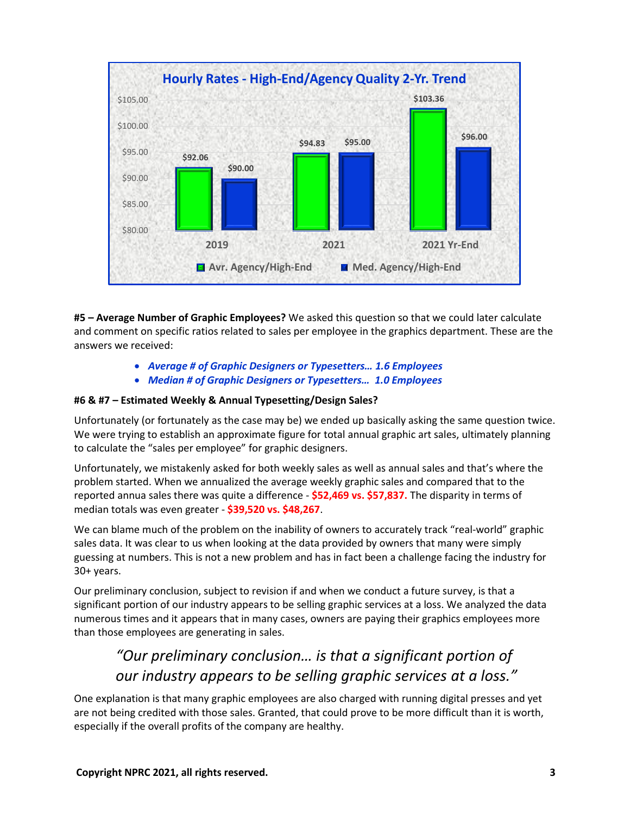

**#5 – Average Number of Graphic Employees?** We asked this question so that we could later calculate and comment on specific ratios related to sales per employee in the graphics department. These are the answers we received:

- *Average # of Graphic Designers or Typesetters… 1.6 Employees*
- *Median # of Graphic Designers or Typesetters… 1.0 Employees*

#### **#6 & #7 – Estimated Weekly & Annual Typesetting/Design Sales?**

Unfortunately (or fortunately as the case may be) we ended up basically asking the same question twice. We were trying to establish an approximate figure for total annual graphic art sales, ultimately planning to calculate the "sales per employee" for graphic designers.

Unfortunately, we mistakenly asked for both weekly sales as well as annual sales and that's where the problem started. When we annualized the average weekly graphic sales and compared that to the reported annua sales there was quite a difference - **\$52,469 vs. \$57,837.** The disparity in terms of median totals was even greater - **\$39,520 vs. \$48,267**.

We can blame much of the problem on the inability of owners to accurately track "real-world" graphic sales data. It was clear to us when looking at the data provided by owners that many were simply guessing at numbers. This is not a new problem and has in fact been a challenge facing the industry for 30+ years.

Our preliminary conclusion, subject to revision if and when we conduct a future survey, is that a significant portion of our industry appears to be selling graphic services at a loss. We analyzed the data numerous times and it appears that in many cases, owners are paying their graphics employees more than those employees are generating in sales.

## *"Our preliminary conclusion… is that a significant portion of our industry appears to be selling graphic services at a loss."*

One explanation is that many graphic employees are also charged with running digital presses and yet are not being credited with those sales. Granted, that could prove to be more difficult than it is worth, especially if the overall profits of the company are healthy.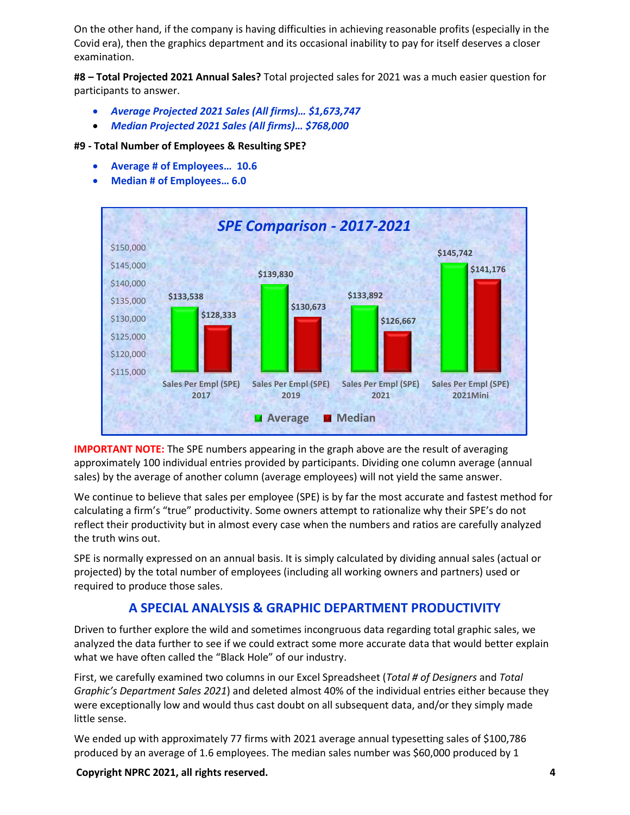On the other hand, if the company is having difficulties in achieving reasonable profits (especially in the Covid era), then the graphics department and its occasional inability to pay for itself deserves a closer examination.

**#8 – Total Projected 2021 Annual Sales?** Total projected sales for 2021 was a much easier question for participants to answer.

- *Average Projected 2021 Sales (All firms)… \$1,673,747*
- *Median Projected 2021 Sales (All firms)… \$768,000*

#### **#9 - Total Number of Employees & Resulting SPE?**

- **Average # of Employees… 10.6**
- **Median # of Employees… 6.0**



**IMPORTANT NOTE:** The SPE numbers appearing in the graph above are the result of averaging approximately 100 individual entries provided by participants. Dividing one column average (annual sales) by the average of another column (average employees) will not yield the same answer.

We continue to believe that sales per employee (SPE) is by far the most accurate and fastest method for calculating a firm's "true" productivity. Some owners attempt to rationalize why their SPE's do not reflect their productivity but in almost every case when the numbers and ratios are carefully analyzed the truth wins out.

SPE is normally expressed on an annual basis. It is simply calculated by dividing annual sales (actual or projected) by the total number of employees (including all working owners and partners) used or required to produce those sales.

#### **A SPECIAL ANALYSIS & GRAPHIC DEPARTMENT PRODUCTIVITY**

Driven to further explore the wild and sometimes incongruous data regarding total graphic sales, we analyzed the data further to see if we could extract some more accurate data that would better explain what we have often called the "Black Hole" of our industry.

First, we carefully examined two columns in our Excel Spreadsheet (*Total # of Designers* and *Total Graphic's Department Sales 2021*) and deleted almost 40% of the individual entries either because they were exceptionally low and would thus cast doubt on all subsequent data, and/or they simply made little sense.

We ended up with approximately 77 firms with 2021 average annual typesetting sales of \$100,786 produced by an average of 1.6 employees. The median sales number was \$60,000 produced by 1

**Copyright NPRC 2021, all rights reserved. 4**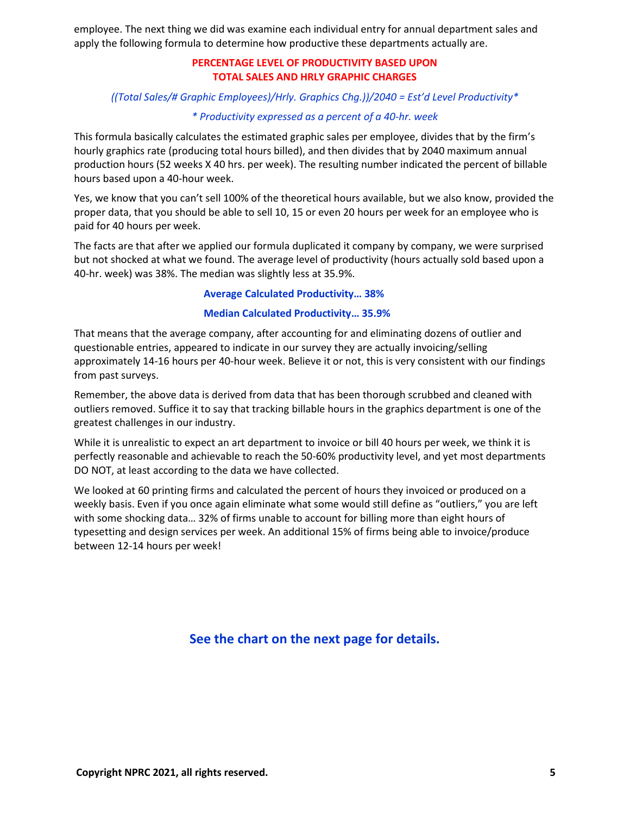employee. The next thing we did was examine each individual entry for annual department sales and apply the following formula to determine how productive these departments actually are.

#### **PERCENTAGE LEVEL OF PRODUCTIVITY BASED UPON TOTAL SALES AND HRLY GRAPHIC CHARGES**

#### *((Total Sales/# Graphic Employees)/Hrly. Graphics Chg.))/2040 = Est'd Level Productivity\**

#### *\* Productivity expressed as a percent of a 40-hr. week*

This formula basically calculates the estimated graphic sales per employee, divides that by the firm's hourly graphics rate (producing total hours billed), and then divides that by 2040 maximum annual production hours (52 weeks X 40 hrs. per week). The resulting number indicated the percent of billable hours based upon a 40-hour week.

Yes, we know that you can't sell 100% of the theoretical hours available, but we also know, provided the proper data, that you should be able to sell 10, 15 or even 20 hours per week for an employee who is paid for 40 hours per week.

The facts are that after we applied our formula duplicated it company by company, we were surprised but not shocked at what we found. The average level of productivity (hours actually sold based upon a 40-hr. week) was 38%. The median was slightly less at 35.9%.

#### **Average Calculated Productivity… 38%**

#### **Median Calculated Productivity… 35.9%**

That means that the average company, after accounting for and eliminating dozens of outlier and questionable entries, appeared to indicate in our survey they are actually invoicing/selling approximately 14-16 hours per 40-hour week. Believe it or not, this is very consistent with our findings from past surveys.

Remember, the above data is derived from data that has been thorough scrubbed and cleaned with outliers removed. Suffice it to say that tracking billable hours in the graphics department is one of the greatest challenges in our industry.

While it is unrealistic to expect an art department to invoice or bill 40 hours per week, we think it is perfectly reasonable and achievable to reach the 50-60% productivity level, and yet most departments DO NOT, at least according to the data we have collected.

We looked at 60 printing firms and calculated the percent of hours they invoiced or produced on a weekly basis. Even if you once again eliminate what some would still define as "outliers," you are left with some shocking data… 32% of firms unable to account for billing more than eight hours of typesetting and design services per week. An additional 15% of firms being able to invoice/produce between 12-14 hours per week!

#### **See the chart on the next page for details.**